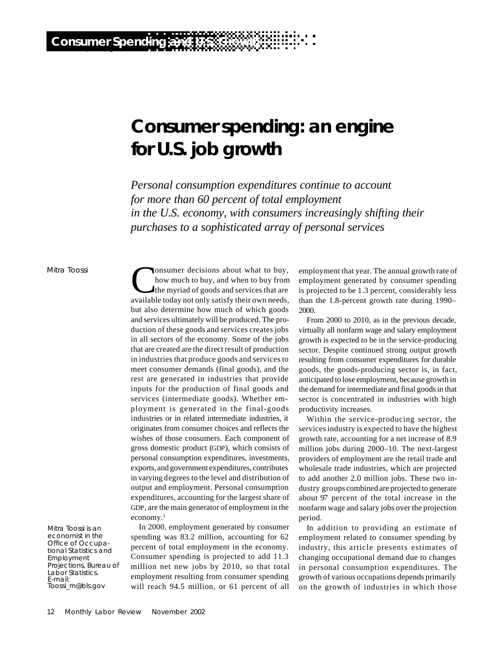# **Consumer spending: an engine for U.S. job growth**

*Personal consumption expenditures continue to account for more than 60 percent of total employment in the U.S. economy, with consumers increasingly shifting their purchases to a sophisticated array of personal services*

## Mitra Toossi

Mitra Toossi is an economist in the Office of Occupational Statistics and Employment Projections, Bureau of Labor Statistics. E-mail: Toossi\_m@bls.gov

 $\mathbf{C}$ onsumer decisions about what to buy, how much to buy, and when to buy from the myriad of goods and services that are available today not only satisfy their own needs, but also determine how much of which goods and services ultimately will be produced. The production of these goods and services creates jobs in all sectors of the economy. Some of the jobs that are created are the direct result of production in industries that produce goods and services to meet consumer demands (final goods), and the rest are generated in industries that provide inputs for the production of final goods and services (intermediate goods). Whether employment is generated in the final-goods industries or in related intermediate industries, it originates from consumer choices and reflects the wishes of those consumers. Each component of gross domestic product (GDP), which consists of personal consumption expenditures, investments, exports, and government expenditures, contributes in varying degrees to the level and distribution of output and employment. Personal consumption expenditures, accounting for the largest share of GDP, are the main generator of employment in the economy.<sup>1</sup>

In 2000, employment generated by consumer spending was 83.2 million, accounting for 62 percent of total employment in the economy. Consumer spending is projected to add 11.3 million net new jobs by 2010, so that total employment resulting from consumer spending will reach 94.5 million, or 61 percent of all

employment that year. The annual growth rate of employment generated by consumer spending is projected to be 1.3 percent, considerably less than the 1.8-percent growth rate during 1990– 2000.

From 2000 to 2010, as in the previous decade, virtually all nonfarm wage and salary employment growth is expected to be in the service-producing sector. Despite continued strong output growth resulting from consumer expenditures for durable goods, the goods-producing sector is, in fact, anticipated to lose employment, because growth in the demand for intermediate and final goods in that sector is concentrated in industries with high productivity increases.

Within the service-producing sector, the services industry is expected to have the highest growth rate, accounting for a net increase of 8.9 million jobs during 2000–10. The next-largest providers of employment are the retail trade and wholesale trade industries, which are projected to add another 2.0 million jobs. These two industry groups combined are projected to generate about 97 percent of the total increase in the nonfarm wage and salary jobs over the projection period.

In addition to providing an estimate of employment related to consumer spending by industry, this article presents estimates of changing occupational demand due to changes in personal consumption expenditures. The growth of various occupations depends primarily on the growth of industries in which those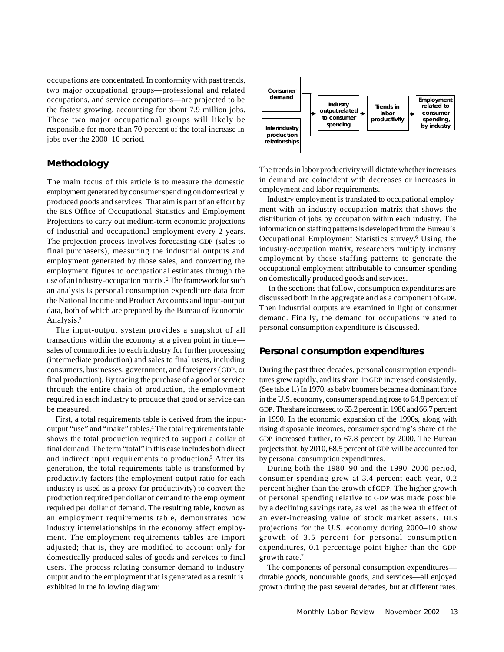occupations are concentrated. In conformity with past trends, two major occupational groups—professional and related occupations, and service occupations—are projected to be the fastest growing, accounting for about 7.9 million jobs. These two major occupational groups will likely be responsible for more than 70 percent of the total increase in jobs over the 2000–10 period.

# **Methodology**

The main focus of this article is to measure the domestic employment generated by consumer spending on domestically produced goods and services. That aim is part of an effort by the BLS Office of Occupational Statistics and Employment Projections to carry out medium-term economic projections of industrial and occupational employment every 2 years. The projection process involves forecasting GDP (sales to final purchasers), measuring the industrial outputs and employment generated by those sales, and converting the employment figures to occupational estimates through the use of an industry-occupation matrix. <sup>2</sup> The framework for such an analysis is personal consumption expenditure data from the National Income and Product Accounts and input-output data, both of which are prepared by the Bureau of Economic Analysis.<sup>3</sup>

The input-output system provides a snapshot of all transactions within the economy at a given point in time sales of commodities to each industry for further processing (intermediate production) and sales to final users, including consumers, businesses, government, and foreigners (GDP, or final production). By tracing the purchase of a good or service through the entire chain of production, the employment required in each industry to produce that good or service can be measured.

First, a total requirements table is derived from the inputoutput "use" and "make" tables.<sup>4</sup> The total requirements table shows the total production required to support a dollar of final demand. The term "total" in this case includes both direct and indirect input requirements to production.<sup>5</sup> After its generation, the total requirements table is transformed by productivity factors (the employment-output ratio for each industry is used as a proxy for productivity) to convert the production required per dollar of demand to the employment required per dollar of demand. The resulting table, known as an employment requirements table, demonstrates how industry interrelationships in the economy affect employment. The employment requirements tables are import adjusted; that is, they are modified to account only for domestically produced sales of goods and services to final users. The process relating consumer demand to industry output and to the employment that is generated as a result is exhibited in the following diagram:



The trends in labor productivity will dictate whether increases in demand are coincident with decreases or increases in employment and labor requirements.

Industry employment is translated to occupational employment with an industry-occupation matrix that shows the distribution of jobs by occupation within each industry. The information on staffing patterns is developed from the Bureau's Occupational Employment Statistics survey.<sup>6</sup> Using the industry-occupation matrix, researchers multiply industry employment by these staffing patterns to generate the occupational employment attributable to consumer spending on domestically produced goods and services.

In the sections that follow, consumption expenditures are discussed both in the aggregate and as a component of GDP. Then industrial outputs are examined in light of consumer demand. Finally, the demand for occupations related to personal consumption expenditure is discussed.

# **Personal consumption expenditures**

During the past three decades, personal consumption expenditures grew rapidly, and its share in GDP increased consistently. (See table 1.) In 1970, as baby boomers became a dominant force in the U.S. economy, consumer spending rose to 64.8 percent of GDP. The share increased to 65.2 percent in 1980 and 66.7 percent in 1990. In the economic expansion of the 1990s, along with rising disposable incomes, consumer spending's share of the GDP increased further, to 67.8 percent by 2000. The Bureau projects that, by 2010, 68.5 percent of GDP will be accounted for by personal consumption expenditures.

During both the 1980–90 and the 1990–2000 period, consumer spending grew at 3.4 percent each year, 0.2 percent higher than the growth of GDP. The higher growth of personal spending relative to GDP was made possible by a declining savings rate, as well as the wealth effect of an ever-increasing value of stock market assets. BLS projections for the U.S. economy during 2000–10 show growth of 3.5 percent for personal consumption expenditures, 0.1 percentage point higher than the GDP growth rate.<sup>7</sup>

The components of personal consumption expenditures durable goods, nondurable goods, and services—all enjoyed growth during the past several decades, but at different rates.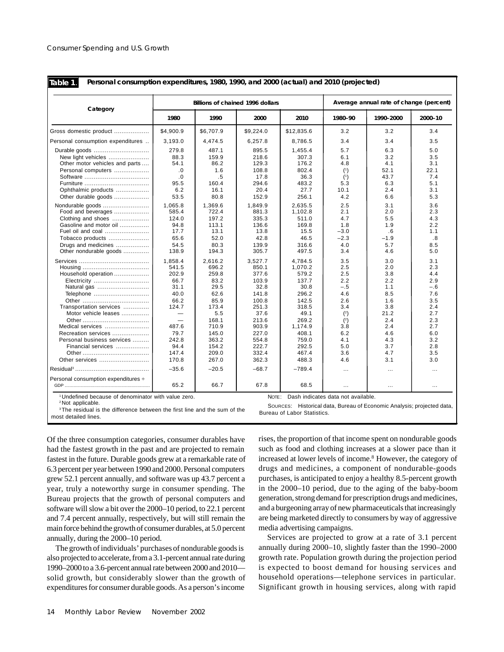**Table 1**.

**Personal consumption expenditures, 1980, 1990, and 2000 (actual) and 2010 (projected)**

| Category                                                                                                                                                                                                                                                                     |                                                                                                                                                                                           |                                                                                                                                                     | <b>Billions of chained 1996 dollars</b>                                                                                                                 | Average annual rate of change (percent)                                                                                                                      |                                                                                                                                       |                                                                                                                            |                                                                                                                            |
|------------------------------------------------------------------------------------------------------------------------------------------------------------------------------------------------------------------------------------------------------------------------------|-------------------------------------------------------------------------------------------------------------------------------------------------------------------------------------------|-----------------------------------------------------------------------------------------------------------------------------------------------------|---------------------------------------------------------------------------------------------------------------------------------------------------------|--------------------------------------------------------------------------------------------------------------------------------------------------------------|---------------------------------------------------------------------------------------------------------------------------------------|----------------------------------------------------------------------------------------------------------------------------|----------------------------------------------------------------------------------------------------------------------------|
|                                                                                                                                                                                                                                                                              | 1980                                                                                                                                                                                      | 1990                                                                                                                                                | 2000                                                                                                                                                    | 2010                                                                                                                                                         | 1980-90                                                                                                                               | 1990-2000                                                                                                                  | 2000-10                                                                                                                    |
| Gross domestic product                                                                                                                                                                                                                                                       | \$4,900.9                                                                                                                                                                                 | \$6,707.9                                                                                                                                           | \$9,224.0                                                                                                                                               | \$12,835.6                                                                                                                                                   | 3.2                                                                                                                                   | 3.2                                                                                                                        | 3.4                                                                                                                        |
| Personal consumption expenditures                                                                                                                                                                                                                                            | 3,193.0                                                                                                                                                                                   | 4,474.5                                                                                                                                             | 6,257.8                                                                                                                                                 | 8,786.5                                                                                                                                                      | 3.4                                                                                                                                   | 3.4                                                                                                                        | 3.5                                                                                                                        |
| Durable goods<br>New light vehicles<br>Other motor vehicles and parts<br>Personal computers<br>Ophthalmic products<br>Other durable goods<br>Nondurable goods<br>Food and beverages<br>Clothing and shoes<br>Gasoline and motor oil<br>Fuel oil and coal<br>Tobacco products | 279.8<br>88.3<br>54.1<br>.0<br>.0<br>95.5<br>6.2<br>53.5<br>1.065.8<br>585.4<br>124.0<br>94.8<br>17.7<br>65.6                                                                             | 487.1<br>159.9<br>86.2<br>1.6<br>.5<br>160.4<br>16.1<br>80.8<br>1.369.6<br>722.4<br>197.2<br>113.1<br>13.1<br>52.0                                  | 895.5<br>218.6<br>129.3<br>108.8<br>17.8<br>294.6<br>20.4<br>152.9<br>1.849.9<br>881.3<br>335.3<br>136.6<br>13.8<br>42.8                                | 1,455.4<br>307.3<br>176.2<br>802.4<br>36.3<br>483.2<br>27.7<br>256.1<br>2.635.5<br>1,102.8<br>511.0<br>169.8<br>15.5<br>46.5                                 | 5.7<br>6.1<br>4.8<br>(1)<br>(1)<br>5.3<br>10.1<br>4.2<br>2.5<br>2.1<br>4.7<br>1.8<br>$-3.0$<br>$-2.3$                                 | 6.3<br>3.2<br>4.1<br>52.1<br>43.7<br>6.3<br>2.4<br>6.6<br>3.1<br>2.0<br>5.5<br>1.9<br>.6<br>$-1.9$                         | 5.0<br>3.5<br>3.1<br>22.1<br>7.4<br>5.1<br>3.1<br>5.3<br>3.6<br>2.3<br>4.3<br>2.2<br>1.1<br>.8                             |
| Drugs and medicines<br>Other nondurable goods                                                                                                                                                                                                                                | 54.5<br>138.9                                                                                                                                                                             | 80.3<br>194.3                                                                                                                                       | 139.9<br>305.7                                                                                                                                          | 316.6<br>497.5                                                                                                                                               | 4.0<br>3.4                                                                                                                            | 5.7<br>4.6                                                                                                                 | 8.5<br>5.0                                                                                                                 |
| Household operation<br>Electricity<br>Natural gas<br>Telephone<br>Transportation services<br>Motor vehicle leases<br>Medical services<br>Recreation services<br>Personal business services<br>Financial services<br>Other services                                           | 1.858.4<br>541.5<br>202.9<br>66.7<br>31.1<br>40.0<br>66.2<br>124.7<br>$\overline{\phantom{0}}$<br>$\overline{\phantom{0}}$<br>487.6<br>79.7<br>242.8<br>94.4<br>147.4<br>170.8<br>$-35.6$ | 2.616.2<br>696.2<br>259.8<br>83.2<br>29.5<br>62.6<br>85.9<br>173.4<br>5.5<br>168.1<br>710.9<br>145.0<br>363.2<br>154.2<br>209.0<br>267.0<br>$-20.5$ | 3.527.7<br>850.1<br>377.6<br>103.9<br>32.8<br>141.8<br>100.8<br>251.3<br>37.6<br>213.6<br>903.9<br>227.0<br>554.8<br>222.7<br>332.4<br>362.3<br>$-68.7$ | 4.784.5<br>1,070.2<br>579.2<br>137.7<br>30.8<br>296.2<br>142.5<br>318.5<br>49.1<br>269.2<br>1,174.9<br>408.1<br>759.0<br>292.5<br>467.4<br>488.3<br>$-789.4$ | 3.5<br>2.5<br>2.5<br>2.2<br>$-.5$<br>4.6<br>2.6<br>3.4<br>(2)<br>$\binom{2}{ }$<br>3.8<br>6.2<br>4.1<br>5.0<br>3.6<br>4.6<br>$\cdots$ | 3.0<br>2.0<br>3.8<br>2.2<br>1.1<br>8.5<br>1.6<br>3.8<br>21.2<br>2.4<br>2.4<br>4.6<br>4.3<br>3.7<br>4.7<br>3.1<br>$\ddotsc$ | 3.1<br>2.3<br>4.4<br>2.9<br>$-.6$<br>7.6<br>3.5<br>2.4<br>2.7<br>2.3<br>2.7<br>6.0<br>3.2<br>2.8<br>3.5<br>3.0<br>$\cdots$ |
| Personal consumption expenditures ÷                                                                                                                                                                                                                                          | 65.2                                                                                                                                                                                      | 66.7                                                                                                                                                | 67.8                                                                                                                                                    | 68.5                                                                                                                                                         | $\cdots$                                                                                                                              | $\cdots$                                                                                                                   | $\cdots$                                                                                                                   |

<sup>1</sup>Undefined because of denominator with value zero. <sup>2</sup>Not applicable.

NOTE: Dash indicates data not available.

<sup>3</sup>The residual is the difference between the first line and the sum of the most detailed lines.

SOURCES: Historical data, Bureau of Economic Analysis; projected data, Bureau of Labor Statistics.

Of the three consumption categories, consumer durables have had the fastest growth in the past and are projected to remain fastest in the future. Durable goods grew at a remarkable rate of 6.3 percent per year between 1990 and 2000. Personal computers grew 52.1 percent annually, and software was up 43.7 percent a year, truly a noteworthy surge in consumer spending. The Bureau projects that the growth of personal computers and software will slow a bit over the 2000–10 period, to 22.1 percent and 7.4 percent annually, respectively, but will still remain the main force behind the growth of consumer durables, at 5.0 percent annually, during the 2000–10 period.

The growth of individuals' purchases of nondurable goods is also projected to accelerate, from a 3.1-percent annual rate during 1990–2000 to a 3.6-percent annual rate between 2000 and 2010 solid growth, but considerably slower than the growth of expenditures for consumer durable goods. As a person's income

rises, the proportion of that income spent on nondurable goods such as food and clothing increases at a slower pace than it increased at lower levels of income.<sup>8</sup> However, the category of drugs and medicines, a component of nondurable-goods purchases, is anticipated to enjoy a healthy 8.5-percent growth in the 2000–10 period, due to the aging of the baby-boom generation, strong demand for prescription drugs and medicines, and a burgeoning array of new pharmaceuticals that increasingly are being marketed directly to consumers by way of aggressive media advertising campaigns.

Services are projected to grow at a rate of 3.1 percent annually during 2000–10, slightly faster than the 1990–2000 growth rate. Population growth during the projection period is expected to boost demand for housing services and household operations—telephone services in particular. Significant growth in housing services, along with rapid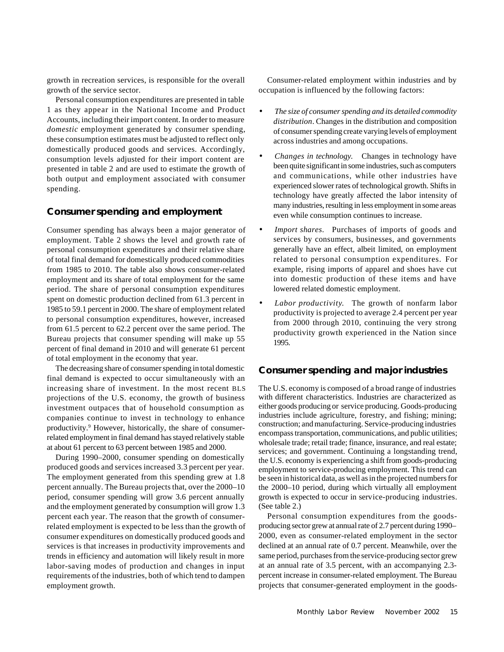growth in recreation services, is responsible for the overall growth of the service sector.

Personal consumption expenditures are presented in table 1 as they appear in the National Income and Product Accounts, including their import content. In order to measure *domestic* employment generated by consumer spending, these consumption estimates must be adjusted to reflect only domestically produced goods and services. Accordingly, consumption levels adjusted for their import content are presented in table 2 and are used to estimate the growth of both output and employment associated with consumer spending.

# **Consumer spending and employment**

Consumer spending has always been a major generator of employment. Table 2 shows the level and growth rate of personal consumption expenditures and their relative share of total final demand for domestically produced commodities from 1985 to 2010. The table also shows consumer-related employment and its share of total employment for the same period. The share of personal consumption expenditures spent on domestic production declined from 61.3 percent in 1985 to 59.1 percent in 2000. The share of employment related to personal consumption expenditures, however, increased from 61.5 percent to 62.2 percent over the same period. The Bureau projects that consumer spending will make up 55 percent of final demand in 2010 and will generate 61 percent of total employment in the economy that year.

The decreasing share of consumer spending in total domestic final demand is expected to occur simultaneously with an increasing share of investment. In the most recent BLS projections of the U.S. economy, the growth of business investment outpaces that of household consumption as companies continue to invest in technology to enhance productivity.<sup>9</sup> However, historically, the share of consumerrelated employment in final demand has stayed relatively stable at about 61 percent to 63 percent between 1985 and 2000.

During 1990–2000, consumer spending on domestically produced goods and services increased 3.3 percent per year. The employment generated from this spending grew at 1.8 percent annually. The Bureau projects that, over the 2000–10 period, consumer spending will grow 3.6 percent annually and the employment generated by consumption will grow 1.3 percent each year. The reason that the growth of consumerrelated employment is expected to be less than the growth of consumer expenditures on domestically produced goods and services is that increases in productivity improvements and trends in efficiency and automation will likely result in more labor-saving modes of production and changes in input requirements of the industries, both of which tend to dampen employment growth.

Consumer-related employment within industries and by occupation is influenced by the following factors:

- *The size of consumer spending and its detailed commodity distribution*. Changes in the distribution and composition of consumer spending create varying levels of employment across industries and among occupations.
- *Changes in technology.* Changes in technology have been quite significant in some industries, such as computers and communications, while other industries have experienced slower rates of technological growth. Shifts in technology have greatly affected the labor intensity of many industries, resulting in less employment in some areas even while consumption continues to increase.
- *Import shares*. Purchases of imports of goods and services by consumers, businesses, and governments generally have an effect, albeit limited, on employment related to personal consumption expenditures. For example, rising imports of apparel and shoes have cut into domestic production of these items and have lowered related domestic employment.
- *Labor productivity*. The growth of nonfarm labor productivity is projected to average 2.4 percent per year from 2000 through 2010, continuing the very strong productivity growth experienced in the Nation since 1995.

# **Consumer spending and major industries**

The U.S. economy is composed of a broad range of industries with different characteristics. Industries are characterized as either goods producing or service producing. Goods-producing industries include agriculture, forestry, and fishing; mining; construction; and manufacturing. Service-producing industries encompass transportation, communications, and public utilities; wholesale trade; retail trade; finance, insurance, and real estate; services; and government. Continuing a longstanding trend, the U.S. economy is experiencing a shift from goods-producing employment to service-producing employment. This trend can be seen in historical data, as well as in the projected numbers for the 2000–10 period, during which virtually all employment growth is expected to occur in service-producing industries. (See table 2.)

Personal consumption expenditures from the goodsproducing sector grew at annual rate of 2.7 percent during 1990– 2000, even as consumer-related employment in the sector declined at an annual rate of 0.7 percent. Meanwhile, over the same period, purchases from the service-producing sector grew at an annual rate of 3.5 percent, with an accompanying 2.3 percent increase in consumer-related employment. The Bureau projects that consumer-generated employment in the goods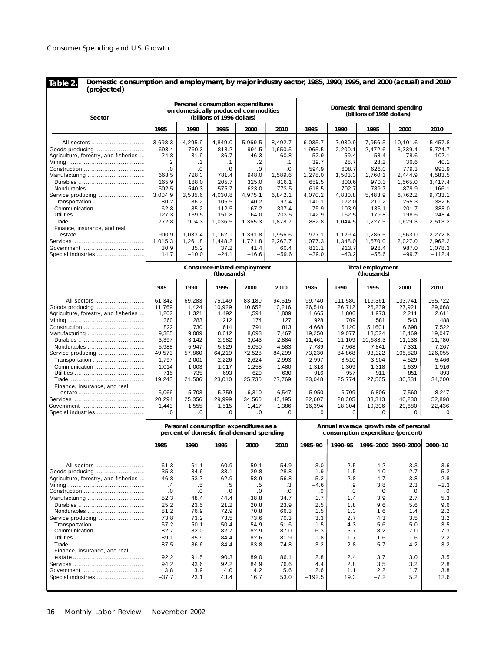**Table 2.**

**Domestic consumption and employment, by major industry sector, 1985, 1990, 1995, and 2000 (actual) and 2010 (projected)**

| Sector                                                                               |                                      | Personal consumption expenditures<br>on domestically produced commodities           | (billions of 1996 dollars)                        |                                      |                                      | Domestic final demand spending<br>(billions of 1996 dollars)                |                                 |                                 |                                 |                                 |
|--------------------------------------------------------------------------------------|--------------------------------------|-------------------------------------------------------------------------------------|---------------------------------------------------|--------------------------------------|--------------------------------------|-----------------------------------------------------------------------------|---------------------------------|---------------------------------|---------------------------------|---------------------------------|
|                                                                                      | 1985                                 | 1990                                                                                | 1995                                              | 2000                                 | 2010                                 | 1985                                                                        | 1990                            | 1995                            | 2000                            | 2010                            |
| All sectors                                                                          | 3,698.3                              | 4,295.9                                                                             | 4,849.0                                           | 5.969.5                              | 8,492.7                              | 6,035.7                                                                     | 7,030.9                         | 7,956.5                         | 10,101.6                        | 15,457.8                        |
| Goods producing                                                                      | 693.4                                | 760.3                                                                               | 818.2                                             | 994.5                                | 1,650.5                              | 1,965.5                                                                     | 2,200.1                         | 2,472.6                         | 3,339.4                         | 5.724.7                         |
| Agriculture, forestry, and fisheries                                                 | 24.8                                 | 31.9                                                                                | 36.7                                              | 46.3                                 | 60.8                                 | 52.9                                                                        | 59.4                            | 58.4                            | 78.6                            | 107.1                           |
|                                                                                      | 2                                    | $\cdot$ 1                                                                           | $\cdot$ 1                                         | .2                                   | $\cdot$ 1                            | 39.7                                                                        | 28.7                            | 28.2                            | 36.6                            | 40.1                            |
| Construction                                                                         | .0                                   | .0                                                                                  | .0                                                | 0.                                   | .0                                   | 594.9                                                                       | 608.7                           | 626.0                           | 779.3                           | 993.9                           |
| Manufacturing                                                                        | 668.5                                | 728.3                                                                               | 781.4                                             | 948.0                                | 1,589.6                              | 1,278.0                                                                     | 1,503.3                         | 1,760.1                         | 2,444.9                         | 4,583.5                         |
|                                                                                      | 165.9                                | 188.0                                                                               | 205.7                                             | 325.0                                | 816.1                                | 659.5                                                                       | 800.6                           | 970.3                           | 1,565.0                         | 3,417.4                         |
| Nondurables                                                                          | 502.5                                | 540.3                                                                               | 575.7                                             | 623.0                                | 773.5                                | 618.5                                                                       | 702.7                           | 789.7                           | 879.9                           | 1.166.1                         |
| Service producing                                                                    | 3.004.9                              | 3,535.6                                                                             | 4,030.8                                           | 4,975.1                              | 6,842.1                              | 4,070.2                                                                     | 4,830.8                         | 5,483.9                         | 6,762.2                         | 9,733.1                         |
| Transportation                                                                       | 80.2                                 | 86.2                                                                                | 106.5                                             | 140.2                                | 197.4                                | 140.1                                                                       | 172.0                           | 211.2                           | 255.3                           | 382.6                           |
| Communication                                                                        | 62.8                                 | 85.2                                                                                | 112.5                                             | 167.2                                | 337.4                                | 75.9                                                                        | 103.9                           | 136.1                           | 201.7                           | 388.0                           |
| Finance, insurance, and real                                                         | 127.3<br>772.8<br>900.9              | 139.5<br>904.3<br>1,033.4                                                           | 151.8<br>1,036.5<br>1,162.1                       | 164.0<br>1,365.3<br>1,391.8          | 203.5<br>1,878.7<br>1,956.6          | 142.9<br>882.8<br>977.1                                                     | 162.5<br>1,044.5<br>1,129.4     | 179.8<br>1,227.5<br>1,286.5     | 198.6<br>1,629.3<br>1,563.0     | 248.4<br>2,513.2<br>2,272.8     |
|                                                                                      | 1,015.3                              | 1,261.8                                                                             | 1,448.2                                           | 1,721.8                              | 2,267.7                              | 1,077.3                                                                     | 1,348.0                         | 1,570.0                         | 2,027.0                         | 2,962.2                         |
| Government ……………………………                                                               | 30.9                                 | 35.2                                                                                | 37.2                                              | 41.4                                 | 60.4                                 | 813.1                                                                       | 913.7                           | 928.4                           | 987.0                           | 1,078.3                         |
| Special industries                                                                   | 14.7                                 | $-10.0$                                                                             | $-24.1$                                           | $-16.6$                              | $-59.6$                              | $-39.0$                                                                     | $-43.2$                         | $-55.6$                         | $-99.7$                         | $-112.4$                        |
|                                                                                      |                                      |                                                                                     | <b>Consumer-related employment</b><br>(thousands) |                                      |                                      | <b>Total employment</b><br>(thousands)                                      |                                 |                                 |                                 |                                 |
|                                                                                      | 1985                                 | 1990                                                                                | 1995                                              | 2000                                 | 2010                                 | 1985                                                                        | 1990                            | 1995                            | 2000                            | 2010                            |
| All sectors                                                                          | 61,342                               | 69,283                                                                              | 75.149                                            | 83,180                               | 94,515                               | 99,740                                                                      | 111,580                         | 119,361                         | 133,741                         | 155,722                         |
| Goods producing                                                                      | 11,769                               | 11,424                                                                              | 10,929                                            | 10,652                               | 10,216                               | 26,510                                                                      | 26,712                          | 26,239                          | 27,921                          | 29.668                          |
| Agriculture, forestry, and fisheries                                                 | 1,202                                | 1,321                                                                               | 1,492                                             | 1,594                                | 1,809                                | 1,665                                                                       | 1,806                           | 1,973                           | 2,211                           | 2,611                           |
|                                                                                      | 360                                  | 283                                                                                 | 212                                               | 174                                  | 127                                  | 928                                                                         | 709                             | 581                             | 543                             | 488                             |
| Construction                                                                         | 822                                  | 730                                                                                 | 614                                               | 791                                  | 813                                  | 4,668                                                                       | 5,120                           | 5,1601                          | 6,698                           | 7,522                           |
| Manufacturing                                                                        | 9,385                                | 9,089                                                                               | 8,612                                             | 8,093                                | 7,467                                | 19,250                                                                      | 19,077                          | 18,524                          | 18,469                          | 19,047                          |
|                                                                                      | 3,397                                | 3,142                                                                               | 2,982                                             | 3,043                                | 2,884                                | 11,461                                                                      | 11,109                          | 10,683.3                        | 11,138                          | 11,780                          |
| Nondurables                                                                          | 5,988                                | 5.947                                                                               | 5,629                                             | 5,050                                | 4,583                                | 7,789                                                                       | 7,968                           | 7,841                           | 7,331                           | 7,267                           |
| Service producing                                                                    | 49,573                               | 57,860                                                                              | 64,219                                            | 72,528                               | 84,299                               | 73,230                                                                      | 84,868                          | 93,122                          | 105,820                         | 126,055                         |
| Transportation                                                                       | 1,797                                | 2,001                                                                               | 2,226                                             | 2,624                                | 2,993                                | 2,997                                                                       | 3,510                           | 3,904                           | 4,529                           | 5,466                           |
| Communication                                                                        | 1,014                                | 1,003                                                                               | 1,017                                             | 1,258                                | 1,480                                | 1,318                                                                       | 1,309                           | 1,318                           | 1,639                           | 1,916                           |
| Finance, insurance, and real                                                         | 715<br>19,243<br>5,066               | 735<br>21,506<br>5,703                                                              | 693<br>23,010<br>5,759                            | 629<br>25,730<br>6,310               | 630<br>27,769<br>6,547               | 916<br>23,048<br>5,950                                                      | 957<br>25,774<br>6,709          | 911<br>27,565<br>6,806          | 851<br>30,331<br>7,560          | 893<br>34,200<br>8,247          |
|                                                                                      | 20,294                               | 25,356                                                                              | 29,999                                            | 34,560                               | 43,495                               | 22,607                                                                      | 28,305                          | 33,313                          | 40,230                          | 52,898                          |
| Government                                                                           | 1,443                                | 1,555                                                                               | 1,515                                             | 1,417                                | 1,386                                | 16,394                                                                      | 18,304                          | 19,306                          | 20,680                          | 22,436                          |
| Special industries                                                                   | .0                                   | .0                                                                                  | .0                                                | .0                                   | .0                                   | 0.                                                                          | .0                              | .0                              | .0                              | .0                              |
|                                                                                      |                                      | Personal consumption expenditures as a<br>percent of domestic final demand spending |                                                   |                                      |                                      | Annual average growth rate of personal<br>consumption expenditure (percent) |                                 |                                 |                                 |                                 |
|                                                                                      | 1985                                 | 1990                                                                                | 1995                                              | 2000                                 | 2010                                 | 1985-90                                                                     | 1990-95                         |                                 | 1995-2000 1990-2000             | 2000-10                         |
| All sectors                                                                          | 61.3                                 | 61.1                                                                                | 60.9                                              | 59.1                                 | 54.9                                 | 3.0                                                                         | 2.5                             | 4.2                             | 3.3                             | 3.6                             |
|                                                                                      | 35.3                                 | 34.6                                                                                | 33.1                                              | 29.8                                 | 28.8                                 | 1.9                                                                         | 1.5                             | 4.0                             | 2.7                             | 5.2                             |
| Agriculture, forestry, and fisheries                                                 | 46.8                                 | 53.7                                                                                | 62.9                                              | 58.9                                 | 56.8                                 | 5.2                                                                         | 2.8                             | 4.7                             | 3.8                             | 2.8                             |
|                                                                                      | $\cdot$                              | .5                                                                                  | .5                                                | .5                                   | .3                                   | $-4.6$                                                                      | .9                              | 3.8                             | 2.3                             | $-2.3$                          |
|                                                                                      | .0                                   | .0                                                                                  | .0                                                | .0                                   | .0                                   | .0                                                                          | .0                              | .0                              | .0                              | .0                              |
| Manufacturing                                                                        | 52.3                                 | 48.4                                                                                | 44.4                                              | 38.8                                 | 34.7                                 | 1.7                                                                         | 1.4                             | 3.9                             | 2.7                             | 5.3                             |
|                                                                                      | 25.2                                 | 23.5                                                                                | 21.2                                              | 20.8                                 | 23.9                                 | 2.5                                                                         | 1.8                             | 9.6                             | 5.6                             | 9.6                             |
| Nondurables                                                                          | 81.2                                 | 76.9                                                                                | 72.9                                              | 70.8                                 | 66.3                                 | 1.5                                                                         | 1.3                             | 1.6                             | 1.4                             | 2.2                             |
| Service producing<br>Transportation<br>Communication<br>Finance, insurance, and real | 73.8<br>57.2<br>82.7<br>89.1<br>87.5 | 73.2<br>50.1<br>82.0<br>85.9<br>86.6                                                | 73.5<br>50.4<br>82.7<br>84.4<br>84.4              | 73.6<br>54.9<br>82.9<br>82.6<br>83.8 | 70.3<br>51.6<br>87.0<br>81.9<br>74.8 | 3.3<br>1.5<br>6.3<br>1.8<br>3.2                                             | 2.7<br>4.3<br>5.7<br>1.7<br>2.8 | 4.3<br>5.6<br>8.2<br>1.6<br>5.7 | 3.5<br>5.0<br>7.0<br>1.6<br>4.2 | 3.2<br>3.5<br>7.3<br>2.2<br>3.2 |
|                                                                                      | 92.2                                 | 91.5                                                                                | 90.3                                              | 89.0                                 | 86.1                                 | 2.8                                                                         | 2.4                             | 3.7                             | 3.0                             | 3.5                             |
|                                                                                      | 94.2                                 | 93.6                                                                                | 92.2                                              | 84.9                                 | 76.6                                 | 4.4                                                                         | 2.8                             | 3.5                             | 3.2                             | 2.8                             |
| Government                                                                           | 3.8                                  | 3.9                                                                                 | 4.0                                               | 4.2                                  | 5.6                                  | 2.6                                                                         | 1.1                             | 2.2                             | 1.7                             | 3.8                             |
| Special industries                                                                   | $-37.7$                              | 23.1                                                                                | 43.4                                              | 16.7                                 | 53.0                                 | $-192.5$                                                                    | 19.3                            | $-7.2$                          | 5.2                             | 13.6                            |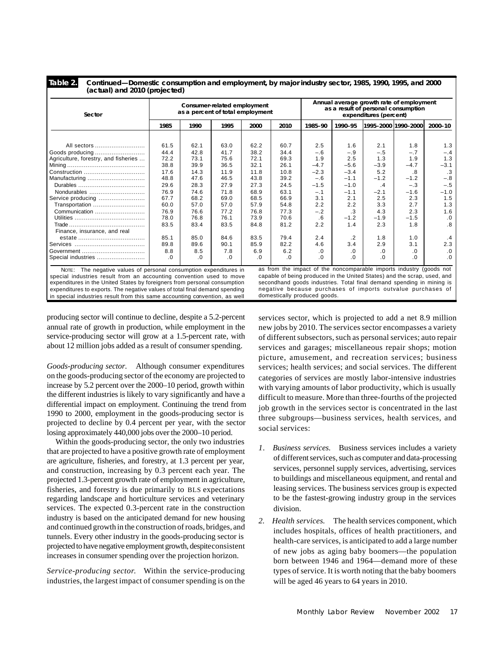**Table 2.**

**Continued—Domestic consumption and employment, by major industry sector, 1985, 1990, 1995, and 2000 (actual) and 2010 (projected)**

| Sector                                                                      | Consumer-related employment<br>as a percent of total employment |      |      |      |                              | Annual average growth rate of employment<br>as a result of personal consumption<br>expenditures (percent) |            |                                                                          |                     |           |
|-----------------------------------------------------------------------------|-----------------------------------------------------------------|------|------|------|------------------------------|-----------------------------------------------------------------------------------------------------------|------------|--------------------------------------------------------------------------|---------------------|-----------|
|                                                                             | 1985                                                            | 1990 | 1995 | 2000 | 2010                         | 1985-90                                                                                                   | 1990-95    |                                                                          | 1995-2000 1990-2000 | 2000-10   |
|                                                                             |                                                                 |      |      |      |                              |                                                                                                           |            |                                                                          |                     |           |
| All sectors                                                                 | 61.5                                                            | 62.1 | 63.0 | 62.2 | 60.7                         | 2.5                                                                                                       | 1.6        | 2.1                                                                      | 1.8                 | 1.3       |
| Goods producing                                                             | 44.4                                                            | 42.8 | 41.7 | 38.2 | 34.4                         | $-.6$                                                                                                     | $-.9$      | $-.5$                                                                    | $-.7$               | $-.4$     |
| Agriculture, forestry, and fisheries                                        | 72.2                                                            | 73.1 | 75.6 | 72.1 | 69.3                         | 1.9                                                                                                       | 2.5        | 1.3                                                                      | 1.9                 | 1.3       |
|                                                                             | 38.8                                                            | 39.9 | 36.5 | 32.1 | 26.1                         | $-4.7$                                                                                                    | $-5.6$     | $-3.9$                                                                   | $-4.7$              | $-3.1$    |
| Construction                                                                | 17.6                                                            | 14.3 | 11.9 | 11.8 | 10.8                         | $-2.3$                                                                                                    | $-3.4$     | 5.2                                                                      | .8                  | $\cdot$ 3 |
| Manufacturing                                                               | 48.8                                                            | 47.6 | 46.5 | 43.8 | 39.2                         | $-.6$                                                                                                     | $-1.1$     | $-1.2$                                                                   | $-1.2$              | $-.8$     |
|                                                                             | 29.6                                                            | 28.3 | 27.9 | 27.3 | 24.5                         | $-1.5$                                                                                                    | $-1.0$     | $\cdot$                                                                  | $-.3$               | $-.5$     |
| Nondurables                                                                 | 76.9                                                            | 74.6 | 71.8 | 68.9 | 63.1                         | $-.1$                                                                                                     | $-1.1$     | $-2.1$                                                                   | $-1.6$              | $-1.0$    |
| Service producing                                                           | 67.7                                                            | 68.2 | 69.0 | 68.5 | 66.9                         | 3.1                                                                                                       | 2.1        | 2.5                                                                      | 2.3                 | 1.5       |
| Transportation                                                              | 60.0                                                            | 57.0 | 57.0 | 57.9 | 54.8                         | 2.2                                                                                                       | 2.2        | 3.3                                                                      | 2.7                 | 1.3       |
| Communication                                                               | 76.9                                                            | 76.6 | 77.2 | 76.8 | 77.3                         | $-.2$                                                                                                     | $\cdot$ 3  | 4.3                                                                      | 2.3                 | 1.6       |
|                                                                             | 78.0                                                            | 76.8 | 76.1 | 73.9 | 70.6                         | .6                                                                                                        | $-1.2$     | $-1.9$                                                                   | $-1.5$              | .0        |
|                                                                             | 83.5                                                            | 83.4 | 83.5 | 84.8 | 81.2                         | 2.2                                                                                                       | 1.4        | 2.3                                                                      | 1.8                 | .8        |
| Finance, insurance, and real                                                |                                                                 |      |      |      |                              |                                                                                                           |            |                                                                          |                     |           |
|                                                                             | 85.1                                                            | 85.0 | 84.6 | 83.5 | 79.4                         | 2.4                                                                                                       | $\cdot$ .2 | 1.8                                                                      | 1.0                 | .4        |
|                                                                             | 89.8                                                            | 89.6 | 90.1 | 85.9 | 82.2                         | 4.6                                                                                                       | 3.4        | 2.9                                                                      | 3.1                 | 2.3       |
|                                                                             | 8.8                                                             | 8.5  | 7.8  | 6.9  | 6.2                          | .0                                                                                                        | .0         | .0                                                                       | .0                  | .0        |
| Special industries                                                          | .0                                                              | .0   | .0   | .0   | .0                           | .0                                                                                                        | .0         | .0                                                                       | .0                  | .0        |
| NOTE: The negative values of personal consumption expenditures in           |                                                                 |      |      |      |                              |                                                                                                           |            | as from the impact of the noncomparable imports industry (goods not      |                     |           |
| special industries result from an accounting convention used to move        |                                                                 |      |      |      |                              |                                                                                                           |            | capable of being produced in the United States) and the scrap, used, and |                     |           |
| expenditures in the United States by foreigners from personal consumption   |                                                                 |      |      |      |                              |                                                                                                           |            | secondhand goods industries. Total final demand spending in mining is    |                     |           |
| expenditures to exports. The negative values of total final demand spending |                                                                 |      |      |      |                              |                                                                                                           |            | negative because purchases of imports outvalue purchases of              |                     |           |
| in special industries result from this same accounting convention, as well  |                                                                 |      |      |      | domestically produced goods. |                                                                                                           |            |                                                                          |                     |           |

producing sector will continue to decline, despite a 5.2-percent annual rate of growth in production, while employment in the service-producing sector will grow at a 1.5-percent rate, with about 12 million jobs added as a result of consumer spending.

*Goods-producing sector.* Although consumer expenditures on the goods-producing sector of the economy are projected to increase by 5.2 percent over the 2000–10 period, growth within the different industries is likely to vary significantly and have a differential impact on employment. Continuing the trend from 1990 to 2000, employment in the goods-producing sector is projected to decline by 0.4 percent per year, with the sector losing approximately 440,000 jobs over the 2000–10 period.

Within the goods-producing sector, the only two industries that are projected to have a positive growth rate of employment are agriculture, fisheries, and forestry, at 1.3 percent per year, and construction, increasing by 0.3 percent each year. The projected 1.3-percent growth rate of employment in agriculture, fisheries, and forestry is due primarily to BLS expectations regarding landscape and horticulture services and veterinary services. The expected 0.3-percent rate in the construction industry is based on the anticipated demand for new housing and continued growth in the construction of roads, bridges, and tunnels. Every other industry in the goods-producing sector is projected to have negative employment growth, despite consistent increases in consumer spending over the projection horizon.

*Service-producing sector*. Within the service-producing industries, the largest impact of consumer spending is on the

services sector, which is projected to add a net 8.9 million new jobs by 2010. The services sector encompasses a variety of different subsectors, such as personal services; auto repair services and garages; miscellaneous repair shops; motion picture, amusement, and recreation services; business services; health services; and social services. The different categories of services are mostly labor-intensive industries with varying amounts of labor productivity, which is usually difficult to measure. More than three-fourths of the projected job growth in the services sector is concentrated in the last three subgroups—business services, health services, and social services:

- *1. Business services.* Business services includes a variety of different services, such as computer and data-processing services, personnel supply services, advertising, services to buildings and miscellaneous equipment, and rental and leasing services. The business services group is expected to be the fastest-growing industry group in the services division.
- *2. Health services.* The health services component, which includes hospitals, offices of health practitioners, and health-care services, is anticipated to add a large number of new jobs as aging baby boomers—the population born between 1946 and 1964—demand more of these types of service. It is worth noting that the baby boomers will be aged 46 years to 64 years in 2010.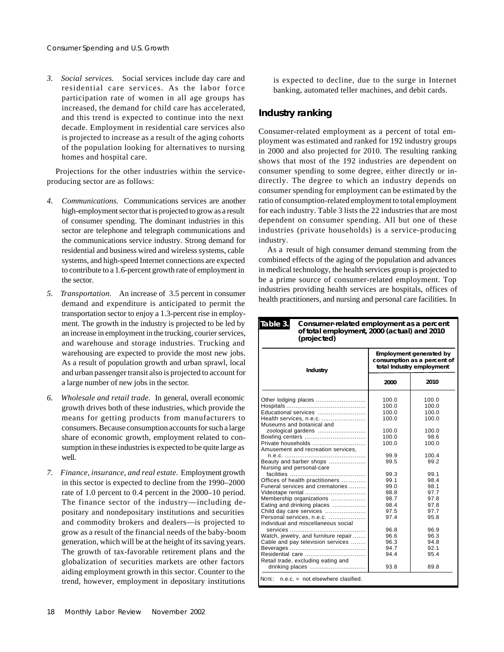*3. Social services.* Social services include day care and residential care services. As the labor force participation rate of women in all age groups has increased, the demand for child care has accelerated, and this trend is expected to continue into the next decade. Employment in residential care services also is projected to increase as a result of the aging cohorts of the population looking for alternatives to nursing homes and hospital care.

Projections for the other industries within the serviceproducing sector are as follows:

- *4. Communications.* Communications services are another high-employment sector that is projected to grow as a result of consumer spending. The dominant industries in this sector are telephone and telegraph communications and the communications service industry. Strong demand for residential and business wired and wireless systems, cable systems, and high-speed Internet connections are expected to contribute to a 1.6-percent growth rate of employment in the sector.
- *5. Transportation.* An increase of 3.5 percent in consumer demand and expenditure is anticipated to permit the transportation sector to enjoy a 1.3-percent rise in employment. The growth in the industry is projected to be led by an increase in employment in the trucking, courier services, and warehouse and storage industries. Trucking and warehousing are expected to provide the most new jobs. As a result of population growth and urban sprawl, local and urban passenger transit also is projected to account for a large number of new jobs in the sector.
- *6. Wholesale and retail trade.* In general, overall economic growth drives both of these industries, which provide the means for getting products from manufacturers to consumers. Because consumption accounts for such a large share of economic growth, employment related to consumption in these industries is expected to be quite large as well.
- *7. Finance, insurance, and real estate.* Employment growth in this sector is expected to decline from the 1990–2000 rate of 1.0 percent to 0.4 percent in the 2000–10 period. The finance sector of the industry—including depositary and nondepositary institutions and securities and commodity brokers and dealers—is projected to grow as a result of the financial needs of the baby-boom generation, which will be at the height of its saving years. The growth of tax-favorable retirement plans and the globalization of securities markets are other factors aiding employment growth in this sector. Counter to the trend, however, employment in depositary institutions

is expected to decline, due to the surge in Internet banking, automated teller machines, and debit cards.

# **Industry ranking**

Consumer-related employment as a percent of total employment was estimated and ranked for 192 industry groups in 2000 and also projected for 2010. The resulting ranking shows that most of the 192 industries are dependent on consumer spending to some degree, either directly or indirectly. The degree to which an industry depends on consumer spending for employment can be estimated by the ratio of consumption-related employment to total employment for each industry. Table 3 lists the 22 industries that are most dependent on consumer spending. All but one of these industries (private households) is a service-producing industry.

As a result of high consumer demand stemming from the combined effects of the aging of the population and advances in medical technology, the health services group is projected to be a prime source of consumer-related employment. Top industries providing health services are hospitals, offices of health practitioners, and nursing and personal care facilities. In

#### **Consumer-related employment as a percent of total employment, 2000 (actual) and 2010 (projected) Table 3.**

| <b>Industry</b>                                | <b>Employment generated by</b><br>consumption as a percent of<br>total Industry employment |       |  |  |  |
|------------------------------------------------|--------------------------------------------------------------------------------------------|-------|--|--|--|
|                                                | 2000                                                                                       | 2010  |  |  |  |
| Other lodging places                           | 100.0                                                                                      | 100.0 |  |  |  |
|                                                | 100.0                                                                                      | 100.0 |  |  |  |
| Educational services                           | 100.0                                                                                      | 100.0 |  |  |  |
| Health services, n.e.c.                        | 100.0                                                                                      | 100.0 |  |  |  |
| Museums and botanical and                      |                                                                                            |       |  |  |  |
| zoological gardens                             | 100.0                                                                                      | 100.0 |  |  |  |
| Bowling centers                                | 100.0                                                                                      | 98.6  |  |  |  |
| Private households                             | 100.0                                                                                      | 100.0 |  |  |  |
| Amusement and recreation services.             |                                                                                            |       |  |  |  |
|                                                | 99.9                                                                                       | 100.4 |  |  |  |
| Beauty and barber shops                        | 99.5                                                                                       | 99.2  |  |  |  |
| Nursing and personal-care                      |                                                                                            |       |  |  |  |
|                                                | 99.3                                                                                       | 99.1  |  |  |  |
| Offices of health practitioners                | 99.1                                                                                       | 98.4  |  |  |  |
| Funeral services and crematories               | 99.0                                                                                       | 98.1  |  |  |  |
| Videotape rental                               | 98.8                                                                                       | 97.7  |  |  |  |
| Membership organizations                       | 98.7                                                                                       | 97.8  |  |  |  |
| Eating and drinking places                     | 98.4                                                                                       | 97.8  |  |  |  |
| Child day care services                        | 97.5                                                                                       | 97.7  |  |  |  |
| Personal services, n.e.c.                      | 97.4                                                                                       | 95.8  |  |  |  |
| Individual and miscellaneous social            |                                                                                            |       |  |  |  |
|                                                | 96.8                                                                                       | 96.9  |  |  |  |
| Watch, jewelry, and furniture repair           | 96.6                                                                                       | 96.3  |  |  |  |
| Cable and pay television services              | 96.3                                                                                       | 94.8  |  |  |  |
|                                                | 94.7                                                                                       | 92.1  |  |  |  |
| Residential care                               | 94.4                                                                                       | 95.4  |  |  |  |
| Retail trade, excluding eating and             |                                                                                            |       |  |  |  |
| drinking places                                | 93.8                                                                                       | 89.8  |  |  |  |
| NOTE '<br>$n.e.c. = not elsewhere classified.$ |                                                                                            |       |  |  |  |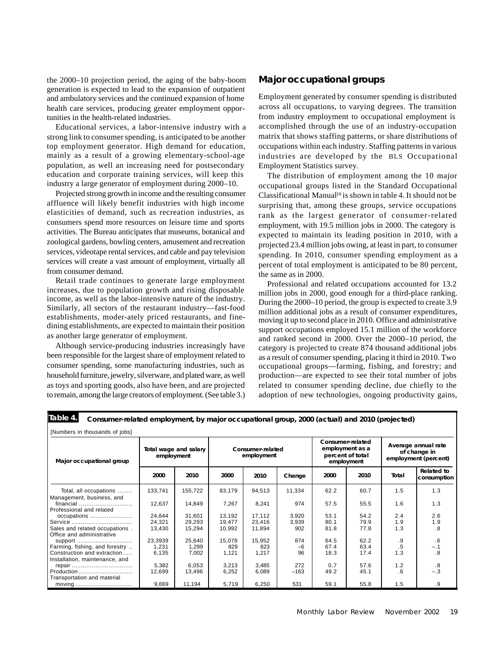the 2000–10 projection period, the aging of the baby-boom generation is expected to lead to the expansion of outpatient and ambulatory services and the continued expansion of home health care services, producing greater employment opportunities in the health-related industries.

Educational services, a labor-intensive industry with a strong link to consumer spending, is anticipated to be another top employment generator. High demand for education, mainly as a result of a growing elementary-school-age population, as well an increasing need for postsecondary education and corporate training services, will keep this industry a large generator of employment during 2000–10.

Projected strong growth in income and the resulting consumer affluence will likely benefit industries with high income elasticities of demand, such as recreation industries, as consumers spend more resources on leisure time and sports activities. The Bureau anticipates that museums, botanical and zoological gardens, bowling centers, amusement and recreation services, videotape rental services, and cable and pay television services will create a vast amount of employment, virtually all from consumer demand.

Retail trade continues to generate large employment increases, due to population growth and rising disposable income, as well as the labor-intensive nature of the industry. Similarly, all sectors of the restaurant industry—fast-food establishments, moder-ately priced restaurants, and finedining establishments, are expected to maintain their position as another large generator of employment.

Although service-producing industries increasingly have been responsible for the largest share of employment related to consumer spending, some manufacturing industries, such as household furniture, jewelry, silverware, and plated ware, as well as toys and sporting goods, also have been, and are projected to remain, among the large creators of employment. (See table 3.)

# **Major occupational groups**

Employment generated by consumer spending is distributed across all occupations, to varying degrees. The transition from industry employment to occupational employment is accomplished through the use of an industry-occupation matrix that shows staffing patterns, or share distributions of occupations within each industry. Staffing patterns in various industries are developed by the BLS Occupational Employment Statistics survey.

The distribution of employment among the 10 major occupational groups listed in the Standard Occupational Classificational Manual<sup>10</sup> is shown in table 4. It should not be surprising that, among these groups, service occupations rank as the largest generator of consumer-related employment, with 19.5 million jobs in 2000. The category is expected to maintain its leading position in 2010, with a projected 23.4 million jobs owing, at least in part, to consumer spending. In 2010, consumer spending employment as a percent of total employment is anticipated to be 80 percent, the same as in 2000.

Professional and related occupations accounted for 13.2 million jobs in 2000, good enough for a third-place ranking. During the 2000–10 period, the group is expected to create 3.9 million additional jobs as a result of consumer expenditures, moving it up to second place in 2010. Office and administrative support occupations employed 15.1 million of the workforce and ranked second in 2000. Over the 2000–10 period, the category is projected to create 874 thousand additional jobs as a result of consumer spending, placing it third in 2010. Two occupational groups—farming, fishing, and forestry; and production—are expected to see their total number of jobs related to consumer spending decline, due chiefly to the adoption of new technologies, ongoing productivity gains,

#### **Consumer-related employment, by major occupational group, 2000 (actual) and 2010 (projected) Table 4.**

| [Numbers in thousands of jobs]                              |                                     |         |                                |        |        |      |                                                                       |                                                             |                                  |
|-------------------------------------------------------------|-------------------------------------|---------|--------------------------------|--------|--------|------|-----------------------------------------------------------------------|-------------------------------------------------------------|----------------------------------|
| Major occupational group                                    | Total wage and salary<br>employment |         | Consumer-related<br>employment |        |        |      | Consumer-related<br>employment as a<br>percent of total<br>employment | Average annual rate<br>of change in<br>employment (percent) |                                  |
|                                                             | 2000                                | 2010    | 2000                           | 2010   | Change | 2000 | 2010                                                                  | Total                                                       | <b>Related to</b><br>consumption |
| Total, all occupations                                      | 133,741                             | 155,722 | 83,179                         | 94,513 | 11,334 | 62.2 | 60.7                                                                  | 1.5                                                         | 1.3                              |
| Management, business, and<br>$f$ inancial                   | 12,637                              | 14,849  | 7,267                          | 8,241  | 974    | 57.5 | 55.5                                                                  | 1.6                                                         | 1.3                              |
| Professional and related                                    | 24.844                              | 31.601  | 13.192                         | 17.112 | 3,920  | 53.1 | 54.2                                                                  | 2.4                                                         | 2.6                              |
| occupations<br>Service                                      | 24,321                              | 29,293  | 19.477                         | 23,416 | 3,939  | 80.1 | 79.9                                                                  | 1.9                                                         | 1.9                              |
| Sales and related occupations.<br>Office and administrative | 13,430                              | 15,294  | 10,992                         | 11,894 | 902    | 81.8 | 77.8                                                                  | 1.3                                                         | .8                               |
| support                                                     | 23,3939                             | 25,640  | 15,078                         | 15,952 | 874    | 64.5 | 62.2                                                                  | .9                                                          | .6                               |
| Farming, fishing, and forestry                              | 1.231                               | 1,299   | 829                            | 823    | $-6$   | 67.4 | 63.4                                                                  | .5                                                          | $-.1$                            |
| Construction and extraction                                 | 6,135                               | 7,002   | 1,121                          | 1,217  | 96     | 18.3 | 17.4                                                                  | 1.3                                                         | .8                               |
| Installation, maintenance, and                              |                                     |         |                                |        |        |      |                                                                       |                                                             |                                  |
|                                                             | 5,382                               | 6,053   | 3,213                          | 3.485  | 272    | 0.7  | 57.6                                                                  | 1.2                                                         | .8                               |
| Production                                                  | 12,699                              | 13,496  | 6,252                          | 6,089  | $-163$ | 49.2 | 45.1                                                                  | .6                                                          | $-.3$                            |
| Transportation and material                                 |                                     |         |                                |        |        |      |                                                                       |                                                             |                                  |
| moving                                                      | 9,669                               | 11,194  | 5,719                          | 6,250  | 531    | 59.1 | 55.8                                                                  | 1.5                                                         | .9                               |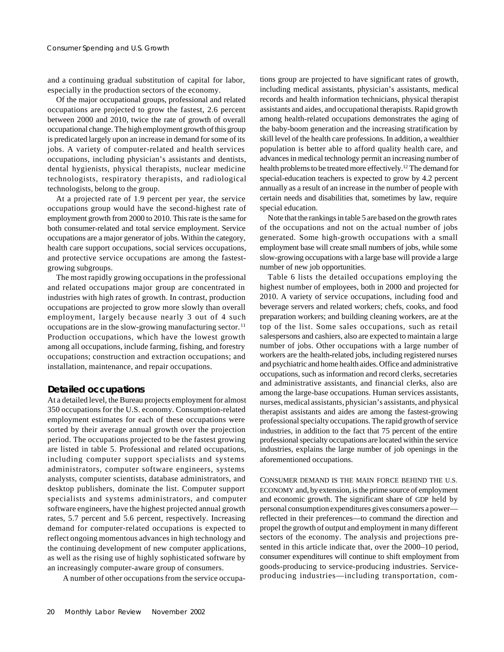and a continuing gradual substitution of capital for labor, especially in the production sectors of the economy.

Of the major occupational groups, professional and related occupations are projected to grow the fastest, 2.6 percent between 2000 and 2010, twice the rate of growth of overall occupational change. The high employment growth of this group is predicated largely upon an increase in demand for some of its jobs. A variety of computer-related and health services occupations, including physician's assistants and dentists, dental hygienists, physical therapists, nuclear medicine technologists, respiratory therapists, and radiological technologists, belong to the group.

At a projected rate of 1.9 percent per year, the service occupations group would have the second-highest rate of employment growth from 2000 to 2010. This rate is the same for both consumer-related and total service employment. Service occupations are a major generator of jobs. Within the category, health care support occupations, social services occupations, and protective service occupations are among the fastestgrowing subgroups.

The most rapidly growing occupations in the professional and related occupations major group are concentrated in industries with high rates of growth. In contrast, production occupations are projected to grow more slowly than overall employment, largely because nearly 3 out of 4 such occupations are in the slow-growing manufacturing sector. <sup>11</sup> Production occupations, which have the lowest growth among all occupations, include farming, fishing, and forestry occupations; construction and extraction occupations; and installation, maintenance, and repair occupations.

## **Detailed occupations**

At a detailed level, the Bureau projects employment for almost 350 occupations for the U.S. economy. Consumption-related employment estimates for each of these occupations were sorted by their average annual growth over the projection period. The occupations projected to be the fastest growing are listed in table 5. Professional and related occupations, including computer support specialists and systems administrators, computer software engineers, systems analysts, computer scientists, database administrators, and desktop publishers, dominate the list. Computer support specialists and systems administrators, and computer software engineers, have the highest projected annual growth rates, 5.7 percent and 5.6 percent, respectively. Increasing demand for computer-related occupations is expected to reflect ongoing momentous advances in high technology and the continuing development of new computer applications, as well as the rising use of highly sophisticated software by an increasingly computer-aware group of consumers.

tions group are projected to have significant rates of growth, including medical assistants, physician's assistants, medical records and health information technicians, physical therapist assistants and aides, and occupational therapists. Rapid growth among health-related occupations demonstrates the aging of the baby-boom generation and the increasing stratification by skill level of the health care professions. In addition, a wealthier population is better able to afford quality health care, and advances in medical technology permit an increasing number of health problems to be treated more effectively.12 The demand for special-education teachers is expected to grow by 4.2 percent annually as a result of an increase in the number of people with certain needs and disabilities that, sometimes by law, require special education.

Note that the rankings in table 5 are based on the growth rates of the occupations and not on the actual number of jobs generated. Some high-growth occupations with a small employment base will create small numbers of jobs, while some slow-growing occupations with a large base will provide a large number of new job opportunities.

Table 6 lists the detailed occupations employing the highest number of employees, both in 2000 and projected for 2010. A variety of service occupations, including food and beverage servers and related workers; chefs, cooks, and food preparation workers; and building cleaning workers, are at the top of the list. Some sales occupations, such as retail salespersons and cashiers, also are expected to maintain a large number of jobs. Other occupations with a large number of workers are the health**-**related jobs, including registered nurses and psychiatric and home health aides. Office and administrative occupations, such as information and record clerks, secretaries and administrative assistants, and financial clerks, also are among the large-base occupations. Human services assistants, nurses, medical assistants, physician's assistants, and physical therapist assistants and aides are among the fastest-growing professional specialty occupations. The rapid growth of service industries, in addition to the fact that 75 percent of the entire professional specialty occupations are located within the service industries, explains the large number of job openings in the aforementioned occupations.

CONSUMER DEMAND IS THE MAIN FORCE BEHIND THE U.S. ECONOMY and, by extension, is the prime source of employment and economic growth. The significant share of GDP held by personal consumption expenditures gives consumers a power reflected in their preferences—to command the direction and propel the growth of output and employment in many different sectors of the economy. The analysis and projections presented in this article indicate that, over the 2000–10 period, consumer expenditures will continue to shift employment from goods-producing to service-producing industries. Service-A number of other occupations from the service occupa-<br>producing industries—including transportation, com-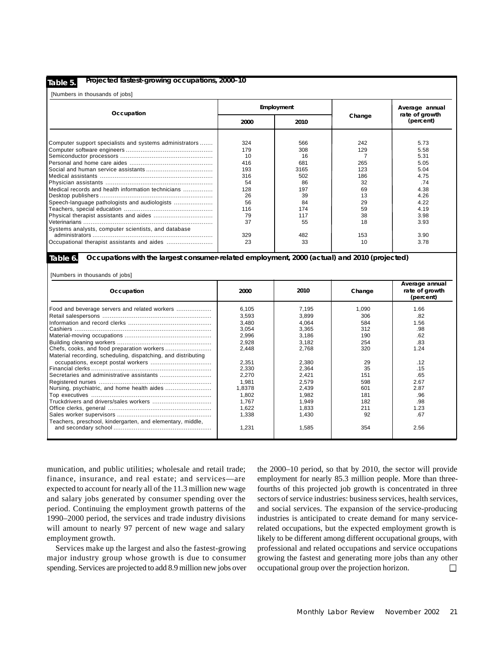#### **Table 5.**

#### **Projected fastest-growing occupations, 2000–10**

[Numbers in thousands of jobs]

| Occupation                                              |      | Employment |        | Average annual              |  |
|---------------------------------------------------------|------|------------|--------|-----------------------------|--|
|                                                         | 2000 | 2010       | Change | rate of growth<br>(percent) |  |
|                                                         |      |            |        |                             |  |
| Computer support specialists and systems administrators | 324  | 566        | 242    | 5.73                        |  |
|                                                         | 179  | 308        | 129    | 5.58                        |  |
|                                                         | 10   | 16         |        | 5.31                        |  |
|                                                         | 416  | 681        | 265    | 5.05                        |  |
|                                                         | 193  | 3165       | 123    | 5.04                        |  |
|                                                         | 316  | 502        | 186    | 4.75                        |  |
|                                                         | 54   | 86         | 32     | .74                         |  |
| Medical records and health information technicians      | 128  | 197        | 69     | 4.38                        |  |
|                                                         | 26   | 39         | 13     | 4.26                        |  |
|                                                         | 56   | 84         | 29     | 4.22                        |  |
|                                                         | 116  | 174        | 59     | 4.19                        |  |
|                                                         | 79   | 117        | 38     | 3.98                        |  |
|                                                         | 37   | 55         | 18     | 3.93                        |  |
| Systems analysts, computer scientists, and database     |      |            |        |                             |  |
|                                                         | 329  | 482        | 153    | 3.90                        |  |
|                                                         | 23   | 33         | 10     | 3.78                        |  |

**Table 6.**

#### **Occupations with the largest consumer-related employment, 2000 (actual) and 2010 (projected)**

**I** INumbers in thousands of jobs]

| Occupation                                                    | 2000   | 2010  | Change | Average annual<br>rate of growth<br>(percent) |  |
|---------------------------------------------------------------|--------|-------|--------|-----------------------------------------------|--|
| Food and beverage servers and related workers                 | 6,105  | 7.195 | 1.090  | 1.66                                          |  |
|                                                               | 3,593  | 3,899 | 306    | .82                                           |  |
|                                                               | 3,480  | 4,064 | 584    | 1.56                                          |  |
|                                                               | 3,054  | 3,365 | 312    | .98                                           |  |
|                                                               | 2,996  | 3,186 | 190    | .62                                           |  |
|                                                               | 2,928  | 3,182 | 254    | .83                                           |  |
|                                                               | 2,448  | 2,768 | 320    | 1.24                                          |  |
| Material recording, scheduling, dispatching, and distributing |        |       |        |                                               |  |
|                                                               | 2,351  | 2,380 | 29     | .12                                           |  |
|                                                               | 2,330  | 2,364 | 35     | .15                                           |  |
|                                                               | 2,270  | 2,421 | 151    | .65                                           |  |
|                                                               | 1.981  | 2,579 | 598    | 2.67                                          |  |
|                                                               | 1,8378 | 2,439 | 601    | 2.87                                          |  |
|                                                               | 1,802  | 1,982 | 181    | .96                                           |  |
|                                                               | 1.767  | 1.949 | 182    | .98                                           |  |
|                                                               | 1,622  | 1.833 | 211    | 1.23                                          |  |
|                                                               | 1.338  | 1,430 | 92     | .67                                           |  |
| Teachers, preschool, kindergarten, and elementary, middle,    |        |       |        |                                               |  |
|                                                               | 1,231  | 1,585 | 354    | 2.56                                          |  |

munication, and public utilities; wholesale and retail trade; finance, insurance, and real estate; and services—are expected to account for nearly all of the 11.3 million new wage and salary jobs generated by consumer spending over the period. Continuing the employment growth patterns of the 1990–2000 period, the services and trade industry divisions will amount to nearly 97 percent of new wage and salary employment growth.

Services make up the largest and also the fastest-growing major industry group whose growth is due to consumer spending. Services are projected to add 8.9 million new jobs over the 2000–10 period, so that by 2010, the sector will provide employment for nearly 85.3 million people. More than threefourths of this projected job growth is concentrated in three sectors of service industries: business services, health services, and social services. The expansion of the service-producing industries is anticipated to create demand for many servicerelated occupations, but the expected employment growth is likely to be different among different occupational groups, with professional and related occupations and service occupations growing the fastest and generating more jobs than any other occupational group over the projection horizon.  $\Box$